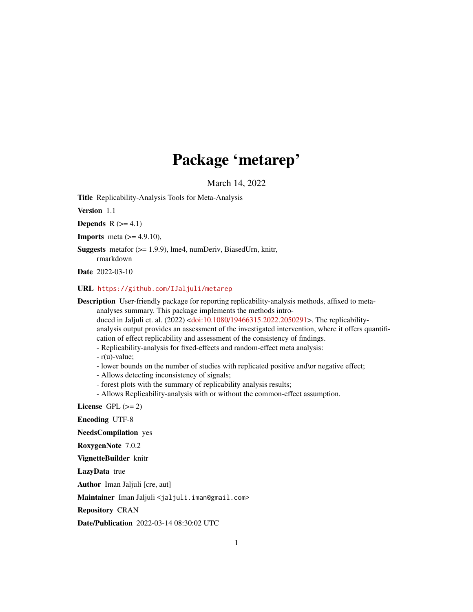## Package 'metarep'

March 14, 2022

<span id="page-0-0"></span>Title Replicability-Analysis Tools for Meta-Analysis

Version 1.1

Depends  $R$  ( $>= 4.1$ )

**Imports** meta  $(>= 4.9.10)$ ,

Suggests metafor (>= 1.9.9), lme4, numDeriv, BiasedUrn, knitr, rmarkdown

Date 2022-03-10

#### URL <https://github.com/IJaljuli/metarep>

Description User-friendly package for reporting replicability-analysis methods, affixed to meta-

analyses summary. This package implements the methods intro-

duced in Jaljuli et. al. (2022) [<doi:10.1080/19466315.2022.2050291>](https://doi.org/10.1080/19466315.2022.2050291). The replicabilityanalysis output provides an assessment of the investigated intervention, where it offers quantification of effect replicability and assessment of the consistency of findings.

- Replicability-analysis for fixed-effects and random-effect meta analysis:

- r(u)-value;

- lower bounds on the number of studies with replicated positive and\or negative effect;
- Allows detecting inconsistency of signals;
- forest plots with the summary of replicability analysis results;
- Allows Replicability-analysis with or without the common-effect assumption.

License GPL  $(>= 2)$ 

Encoding UTF-8

NeedsCompilation yes

RoxygenNote 7.0.2

VignetteBuilder knitr

LazyData true

Author Iman Jaljuli [cre, aut]

Maintainer Iman Jaljuli <jaljuli.iman@gmail.com>

Repository CRAN

Date/Publication 2022-03-14 08:30:02 UTC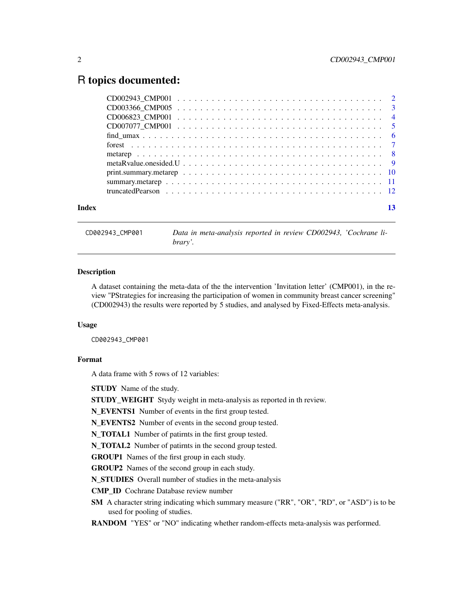### <span id="page-1-0"></span>R topics documented:

| Index |  |  |  |  |  |  |  |  |  |  |  |  |  |  |  |  |  |
|-------|--|--|--|--|--|--|--|--|--|--|--|--|--|--|--|--|--|

CD002943\_CMP001 *Data in meta-analysis reported in review CD002943, 'Cochrane library'.*

#### Description

A dataset containing the meta-data of the the intervention 'Invitation letter' (CMP001), in the review "PStrategies for increasing the participation of women in community breast cancer screening" (CD002943) the results were reported by 5 studies, and analysed by Fixed-Effects meta-analysis.

#### Usage

CD002943\_CMP001

#### Format

A data frame with 5 rows of 12 variables:

STUDY Name of the study.

STUDY\_WEIGHT Stydy weight in meta-analysis as reported in th review.

N\_EVENTS1 Number of events in the first group tested.

N\_EVENTS2 Number of events in the second group tested.

N\_TOTAL1 Number of patirnts in the first group tested.

N\_TOTAL2 Number of patirnts in the second group tested.

GROUP1 Names of the first group in each study.

GROUP2 Names of the second group in each study.

N\_STUDIES Overall number of studies in the meta-analysis

CMP\_ID Cochrane Database review number

SM A character string indicating which summary measure ("RR", "OR", "RD", or "ASD") is to be used for pooling of studies.

RANDOM "YES" or "NO" indicating whether random-effects meta-analysis was performed.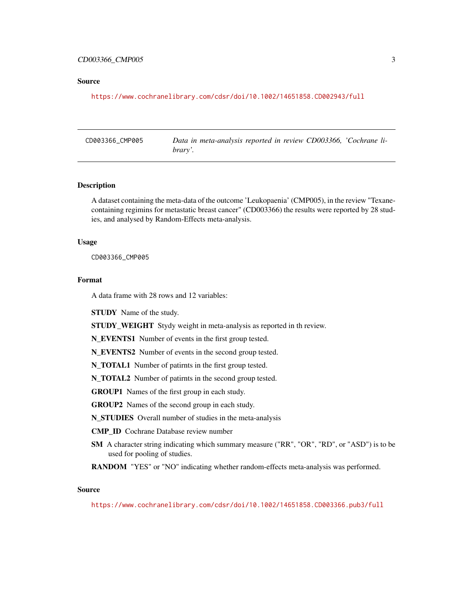#### <span id="page-2-0"></span>CD003366\_CMP005 3

#### Source

<https://www.cochranelibrary.com/cdsr/doi/10.1002/14651858.CD002943/full>

CD003366\_CMP005 *Data in meta-analysis reported in review CD003366, 'Cochrane library'.*

#### Description

A dataset containing the meta-data of the outcome 'Leukopaenia' (CMP005), in the review "Texanecontaining regimins for metastatic breast cancer" (CD003366) the results were reported by 28 studies, and analysed by Random-Effects meta-analysis.

#### Usage

CD003366\_CMP005

#### Format

A data frame with 28 rows and 12 variables:

STUDY Name of the study.

STUDY\_WEIGHT Stydy weight in meta-analysis as reported in th review.

N\_EVENTS1 Number of events in the first group tested.

N\_EVENTS2 Number of events in the second group tested.

N\_TOTAL1 Number of patirnts in the first group tested.

N\_TOTAL2 Number of patirnts in the second group tested.

GROUP1 Names of the first group in each study.

GROUP2 Names of the second group in each study.

N\_STUDIES Overall number of studies in the meta-analysis

CMP\_ID Cochrane Database review number

- SM A character string indicating which summary measure ("RR", "OR", "RD", or "ASD") is to be used for pooling of studies.
- RANDOM "YES" or "NO" indicating whether random-effects meta-analysis was performed.

#### Source

<https://www.cochranelibrary.com/cdsr/doi/10.1002/14651858.CD003366.pub3/full>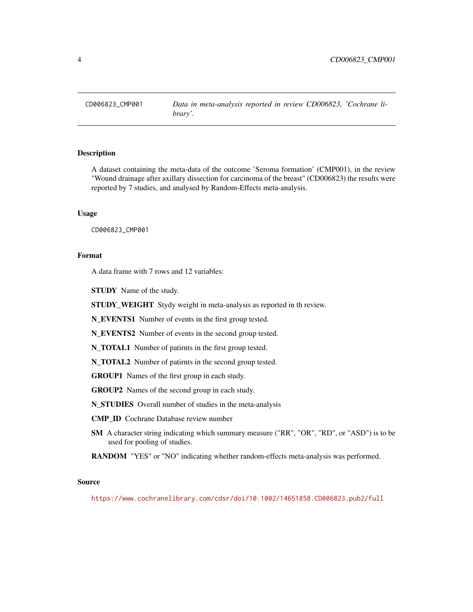<span id="page-3-0"></span>

#### **Description**

A dataset containing the meta-data of the outcome 'Seroma formation' (CMP001), in the review "Wound drainage after axillary dissection for carcinoma of the breast" (CD006823) the results were reported by 7 studies, and analysed by Random-Effects meta-analysis.

#### Usage

CD006823\_CMP001

#### Format

A data frame with 7 rows and 12 variables:

STUDY Name of the study.

STUDY\_WEIGHT Stydy weight in meta-analysis as reported in th review.

N\_EVENTS1 Number of events in the first group tested.

N\_EVENTS2 Number of events in the second group tested.

N\_TOTAL1 Number of patirnts in the first group tested.

N\_TOTAL2 Number of patirnts in the second group tested.

GROUP1 Names of the first group in each study.

GROUP2 Names of the second group in each study.

N\_STUDIES Overall number of studies in the meta-analysis

CMP\_ID Cochrane Database review number

SM A character string indicating which summary measure ("RR", "OR", "RD", or "ASD") is to be used for pooling of studies.

RANDOM "YES" or "NO" indicating whether random-effects meta-analysis was performed.

#### Source

<https://www.cochranelibrary.com/cdsr/doi/10.1002/14651858.CD006823.pub2/full>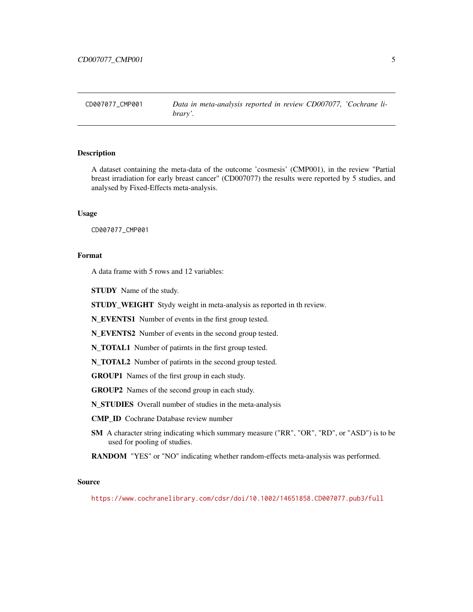<span id="page-4-0"></span>CD007077\_CMP001 *Data in meta-analysis reported in review CD007077, 'Cochrane library'.*

#### **Description**

A dataset containing the meta-data of the outcome 'cosmesis' (CMP001), in the review "Partial breast irradiation for early breast cancer" (CD007077) the results were reported by 5 studies, and analysed by Fixed-Effects meta-analysis.

#### Usage

CD007077\_CMP001

#### Format

A data frame with 5 rows and 12 variables:

STUDY Name of the study.

STUDY\_WEIGHT Stydy weight in meta-analysis as reported in th review.

N\_EVENTS1 Number of events in the first group tested.

N\_EVENTS2 Number of events in the second group tested.

N\_TOTAL1 Number of patirnts in the first group tested.

N\_TOTAL2 Number of patirnts in the second group tested.

GROUP1 Names of the first group in each study.

GROUP2 Names of the second group in each study.

N\_STUDIES Overall number of studies in the meta-analysis

CMP\_ID Cochrane Database review number

SM A character string indicating which summary measure ("RR", "OR", "RD", or "ASD") is to be used for pooling of studies.

RANDOM "YES" or "NO" indicating whether random-effects meta-analysis was performed.

#### Source

<https://www.cochranelibrary.com/cdsr/doi/10.1002/14651858.CD007077.pub3/full>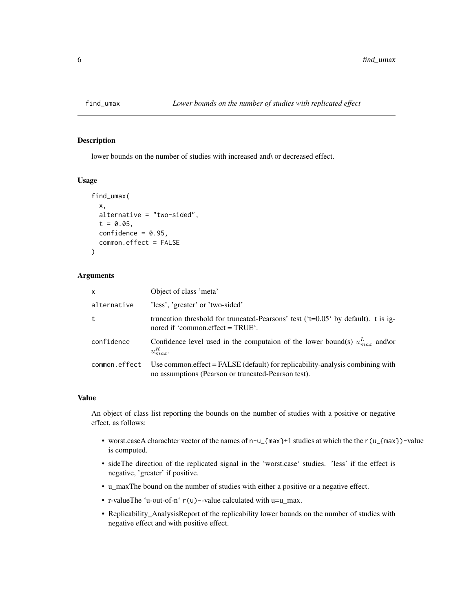<span id="page-5-0"></span>

#### Description

lower bounds on the number of studies with increased and\ or decreased effect.

#### Usage

```
find_umax(
  x,
  alternative = "two-sided",
  t = 0.05,
  confidence = 0.95,common.effect = FALSE
)
```
#### Arguments

| x             | Object of class 'meta'                                                                                                               |
|---------------|--------------------------------------------------------------------------------------------------------------------------------------|
| alternative   | 'less', 'greater' or 'two-sided'                                                                                                     |
| t             | truncation threshold for truncated-Pearsons' test (' $t=0.05$ ' by default). t is ig-<br>nored if 'common.effect $=$ TRUE'.          |
| confidence    | Confidence level used in the computaion of the lower bound(s) $u_{max}^L$ and\or<br>$u_{max}^R$ .                                    |
| common.effect | Use common.effect = FALSE (default) for replicability-analysis combining with<br>no assumptions (Pearson or truncated-Pearson test). |

#### Value

An object of class list reporting the bounds on the number of studies with a positive or negative effect, as follows:

- worst.caseA charachter vector of the names of n-u\_{max}+1 studies at which the the r(u\_{max})-value is computed.
- sideThe direction of the replicated signal in the 'worst.case' studies. 'less' if the effect is negative, 'greater' if positive.
- u\_maxThe bound on the number of studies with either a positive or a negative effect.
- r-valueThe 'u-out-of-n' r(u)--value calculated with u=u\_max.
- Replicability\_AnalysisReport of the replicability lower bounds on the number of studies with negative effect and with positive effect.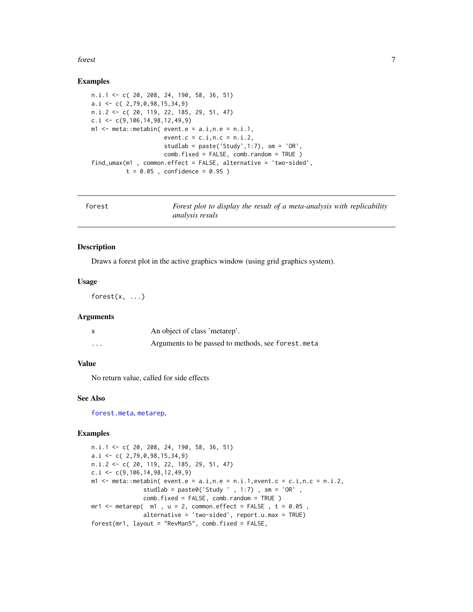#### <span id="page-6-0"></span>forest 7

#### Examples

```
n.i.1 <- c( 20, 208, 24, 190, 58, 36, 51)
a.i \leq c( 2,79,0,98,15,34,9)
n.i.2 <- c( 20, 119, 22, 185, 29, 51, 47)
c.i \leq c(9,106,14,98,12,49,9)m1 <- meta:: metabin( event.e = a.i, n.e = n.i.1,
                     event.c = c.i, n.c = n.i.2,studlab = paste('Study',1:7), sm = 'OR',
                     comb.fixed = FALSE, comb.random = TRUE )
find_umax(m1 , common.effect = FALSE, alternative = 'two-sided',
          t = 0.05, confidence = 0.95)
```

| forest | Forest plot to display the result of a meta-analysis with replicability |
|--------|-------------------------------------------------------------------------|
|        | <i>analysis resuls</i>                                                  |

#### Description

Draws a forest plot in the active graphics window (using grid graphics system).

#### Usage

forest $(x, \ldots)$ 

#### Arguments

|          | An object of class 'metarep'.                       |
|----------|-----------------------------------------------------|
| $\cdots$ | Arguments to be passed to methods, see forest. meta |

#### Value

No return value, called for side effects

#### See Also

[forest.meta](#page-0-0), [metarep](#page-7-1),

```
n.i.1 <- c( 20, 208, 24, 190, 58, 36, 51)
a.i \leq c(2,79,0,98,15,34,9)n.i.2 <- c( 20, 119, 22, 185, 29, 51, 47)
c.i \leq c(9,106,14,98,12,49,9)
m1 \le meta::metabin( event.e = a.i,n.e = n.i.1, event.c = c.i,n.c = n.i.2,
               studlab = paste0('Study ' , 1:7) , sm = 'OR' ,
               comb.fixed = FALSE, comb.random = TRUE )
m r1 <- metarep(m1, u = 2, common.effect = FALSE, t = 0.05,
               alternative = 'two-sided', report.u.max = TRUE)forest(mr1, layout = "RevMan5", comb.fixed = FALSE,
```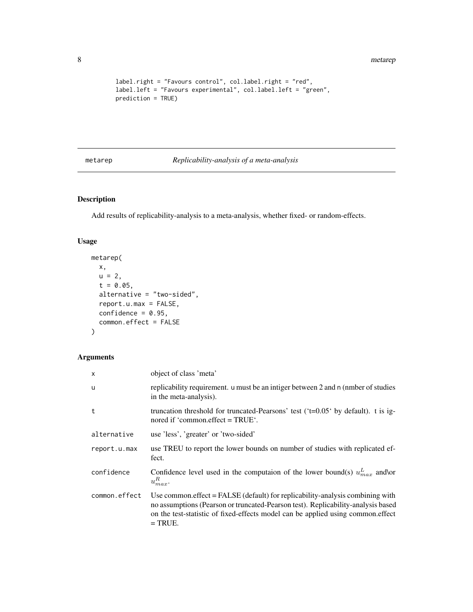```
label.right = "Favours control", col.label.right = "red",
label.left = "Favours experimental", col.label.left = "green",
prediction = TRUE)
```
#### <span id="page-7-1"></span>metarep *Replicability-analysis of a meta-analysis*

#### Description

Add results of replicability-analysis to a meta-analysis, whether fixed- or random-effects.

#### Usage

```
metarep(
 x,
 u = 2,t = 0.05,
 alternative = "two-sided",
 report.u.max = FALSE,
 confidence = 0.95,
  common.effect = FALSE
)
```
#### Arguments

| $\times$      | object of class 'meta'                                                                                                                                                                                                                                              |
|---------------|---------------------------------------------------------------------------------------------------------------------------------------------------------------------------------------------------------------------------------------------------------------------|
| u             | replicability requirement. u must be an intiger between 2 and n (nmber of studies<br>in the meta-analysis).                                                                                                                                                         |
| t             | truncation threshold for truncated-Pearsons' test ( $t=0.05$ by default). t is ig-<br>nored if 'common.effect = TRUE'.                                                                                                                                              |
| alternative   | use 'less', 'greater' or 'two-sided'                                                                                                                                                                                                                                |
| report.u.max  | use TREU to report the lower bounds on number of studies with replicated ef-<br>fect.                                                                                                                                                                               |
| confidence    | Confidence level used in the computaion of the lower bound(s) $u_{max}^L$ and\or<br>$u_{max}^R$ .                                                                                                                                                                   |
| common.effect | Use common effect $=$ FALSE (default) for replicability-analysis combining with<br>no assumptions (Pearson or truncated-Pearson test). Replicability-analysis based<br>on the test-statistic of fixed-effects model can be applied using common.effect<br>$=$ TRUE. |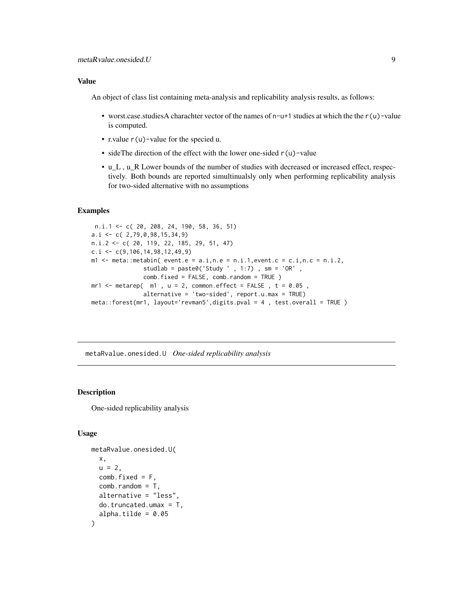#### <span id="page-8-0"></span>Value

An object of class list containing meta-analysis and replicability analysis results, as follows:

- worst.case.studiesA charachter vector of the names of  $n-u+1$  studies at which the the r(u)-value is computed.
- r.value r(u)-value for the specied u.
- sideThe direction of the effect with the lower one-sided  $r(u)$ -value
- u\_L , u\_R Lower bounds of the number of studies with decreased or increased effect, respectively. Both bounds are reported simultinualsly only when performing replicability analysis for two-sided alternative with no assumptions

#### Examples

```
n.i.1 <- c( 20, 208, 24, 190, 58, 36, 51)
a.i \leq c(2,79,0,98,15,34,9)n.i.2 <- c( 20, 119, 22, 185, 29, 51, 47)
c.i \leq c(9,106,14,98,12,49,9)m1 \le meta::metabin( event.e = a.i,n.e = n.i.1, event.c = c.i,n.c = n.i.2,
               studlab = \text{paste@('Study ' }, 1:7), \text{sm} = 'OR',
               comb.fixed = FALSE, comb.random = TRUE )
mr1 <- metarep(m1, u = 2, common.effect = FALSE, t = 0.05,
               alternative = 'two-sided', report.u.max = TRUE)
meta::forest(mr1, layout='revman5',digits.pval = 4 , test.overall = TRUE )
```
metaRvalue.onesided.U *One-sided replicability analysis*

#### Description

One-sided replicability analysis

#### Usage

```
metaRvalue.onesided.U(
 x,
 u = 2,
  comb.fixed = F,
  comb.random = T,
  alternative = "less",
 do. truncated.umax = T,
  alpha.tilde = 0.05)
```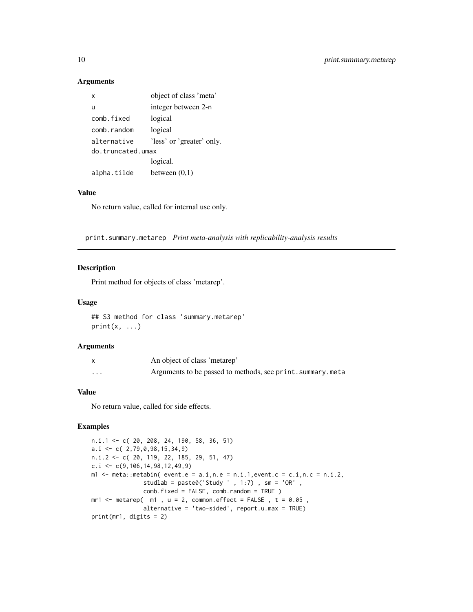#### Arguments

| $\mathsf{x}$      | object of class 'meta'    |
|-------------------|---------------------------|
| $\mathbf{U}$      | integer between 2-n       |
| comb fixed        | logical                   |
| comb.random       | logical                   |
| alternative       | 'less' or 'greater' only. |
| do.truncated.umax |                           |
|                   | logical.                  |
| alpha.tilde       | between $(0,1)$           |
|                   |                           |

#### Value

No return value, called for internal use only.

print.summary.metarep *Print meta-analysis with replicability-analysis results*

#### Description

Print method for objects of class 'metarep'.

#### Usage

## S3 method for class 'summary.metarep'  $print(x, \ldots)$ 

#### Arguments

|                         | An object of class 'metarep'                                |
|-------------------------|-------------------------------------------------------------|
| $\cdot$ $\cdot$ $\cdot$ | Arguments to be passed to methods, see print. summary. meta |

#### Value

No return value, called for side effects.

```
n.i.1 <- c( 20, 208, 24, 190, 58, 36, 51)
a.i \leq c(2,79,0,98,15,34,9)n.i.2 <- c( 20, 119, 22, 185, 29, 51, 47)
c.i \leq c(9,106,14,98,12,49,9)m1 <- meta::metabin( event.e = a.i, n.e = n.i.1, event.c = c.i, n.c = n.i.2,
               studlab = \text{past}e\theta('Study ' , 1:7) , sm = 'OR' ,
               comb.fixed = FALSE, comb.random = TRUE )
m-1 <- metarep(m1, u = 2, common.effect = FALSE, t = 0.05,
               alternative = 'two-sided', report.u.max = TRUE)
print(mr1, digits = 2)
```
<span id="page-9-0"></span>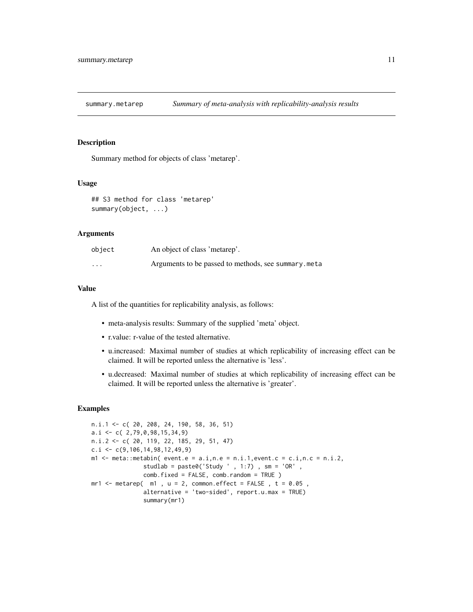<span id="page-10-0"></span>summary.metarep *Summary of meta-analysis with replicability-analysis results*

#### Description

Summary method for objects of class 'metarep'.

#### Usage

```
## S3 method for class 'metarep'
summary(object, ...)
```
#### Arguments

| object   | An object of class 'metarep'.                       |
|----------|-----------------------------------------------------|
| $\cdots$ | Arguments to be passed to methods, see summary.meta |

#### Value

A list of the quantities for replicability analysis, as follows:

- meta-analysis results: Summary of the supplied 'meta' object.
- r.value: r-value of the tested alternative.
- u.increased: Maximal number of studies at which replicability of increasing effect can be claimed. It will be reported unless the alternative is 'less'.
- u.decreased: Maximal number of studies at which replicability of increasing effect can be claimed. It will be reported unless the alternative is 'greater'.

```
n.i.1 <- c( 20, 208, 24, 190, 58, 36, 51)
a.i \leq c(2,79,0,98,15,34,9)n.i.2 <- c( 20, 119, 22, 185, 29, 51, 47)
c.i \leq c(9,106,14,98,12,49,9)m1 <- meta::metabin( event.e = a.i,n.e = n.i.1, event.c = c.i,n.c = n.i.2,
               studlab = \text{past}e\theta('Study ' , 1:7) , sm = 'OR' ,
               comb.fixed = FALSE, comb.random = TRUE )
m-1 <- metarep(m1, u = 2, common.effect = FALSE, t = 0.05,
               alternative = 'two-sided', report.u.max = TRUE)
               summary(mr1)
```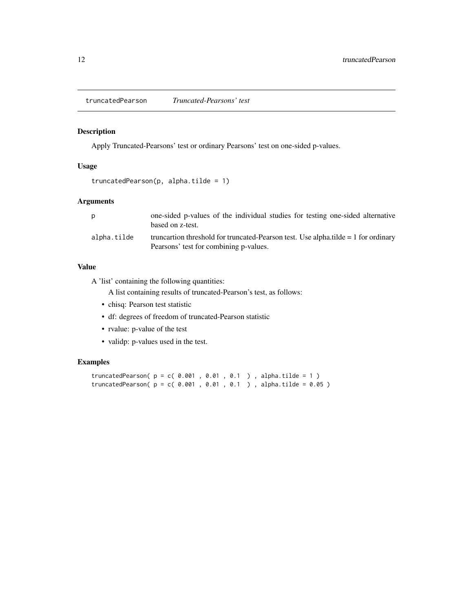<span id="page-11-0"></span>truncatedPearson *Truncated-Pearsons' test*

#### Description

Apply Truncated-Pearsons' test or ordinary Pearsons' test on one-sided p-values.

#### Usage

```
truncatedPearson(p, alpha.title = 1)
```
#### Arguments

|             | one-sided p-values of the individual studies for testing one-sided alternative<br>based on z-test.                             |
|-------------|--------------------------------------------------------------------------------------------------------------------------------|
| alpha.tilde | truncartion threshold for truncated-Pearson test. Use alpha.tilde $= 1$ for ordinary<br>Pearsons' test for combining p-values. |

#### Value

A 'list' containing the following quantities:

A list containing results of truncated-Pearson's test, as follows:

- chisq: Pearson test statistic
- df: degrees of freedom of truncated-Pearson statistic
- rvalue: p-value of the test
- validp: p-values used in the test.

```
truncatedPearson(p = c( 0.001 , 0.01 , 0.1 ), alpha.tilde = 1)
truncatedPearson(p = c( 0.001, 0.01, 0.1), alpha.tilde = 0.05)
```